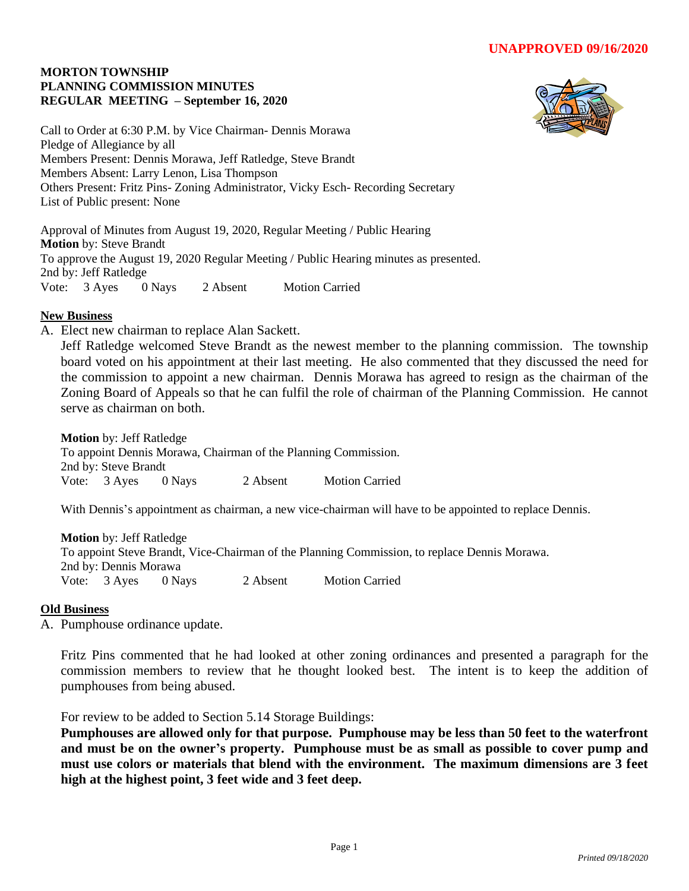## **MORTON TOWNSHIP PLANNING COMMISSION MINUTES REGULAR MEETING – September 16, 2020**



Call to Order at 6:30 P.M. by Vice Chairman- Dennis Morawa Pledge of Allegiance by all Members Present: Dennis Morawa, Jeff Ratledge, Steve Brandt Members Absent: Larry Lenon, Lisa Thompson Others Present: Fritz Pins- Zoning Administrator, Vicky Esch- Recording Secretary List of Public present: None

Approval of Minutes from August 19, 2020, Regular Meeting / Public Hearing **Motion** by: Steve Brandt To approve the August 19, 2020 Regular Meeting / Public Hearing minutes as presented. 2nd by: Jeff Ratledge Vote: 3 Ayes 0 Nays 2 Absent Motion Carried

## **New Business**

A. Elect new chairman to replace Alan Sackett.

Jeff Ratledge welcomed Steve Brandt as the newest member to the planning commission. The township board voted on his appointment at their last meeting. He also commented that they discussed the need for the commission to appoint a new chairman. Dennis Morawa has agreed to resign as the chairman of the Zoning Board of Appeals so that he can fulfil the role of chairman of the Planning Commission. He cannot serve as chairman on both.

**Motion** by: Jeff Ratledge

To appoint Dennis Morawa, Chairman of the Planning Commission. 2nd by: Steve Brandt Vote: 3 Ayes 0 Nays 2 Absent Motion Carried

With Dennis's appointment as chairman, a new vice-chairman will have to be appointed to replace Dennis.

**Motion** by: Jeff Ratledge To appoint Steve Brandt, Vice-Chairman of the Planning Commission, to replace Dennis Morawa. 2nd by: Dennis Morawa Vote: 3 Ayes 0 Nays 2 Absent Motion Carried

## **Old Business**

A. Pumphouse ordinance update.

Fritz Pins commented that he had looked at other zoning ordinances and presented a paragraph for the commission members to review that he thought looked best. The intent is to keep the addition of pumphouses from being abused.

For review to be added to Section 5.14 Storage Buildings:

**Pumphouses are allowed only for that purpose. Pumphouse may be less than 50 feet to the waterfront and must be on the owner's property. Pumphouse must be as small as possible to cover pump and must use colors or materials that blend with the environment. The maximum dimensions are 3 feet high at the highest point, 3 feet wide and 3 feet deep.**